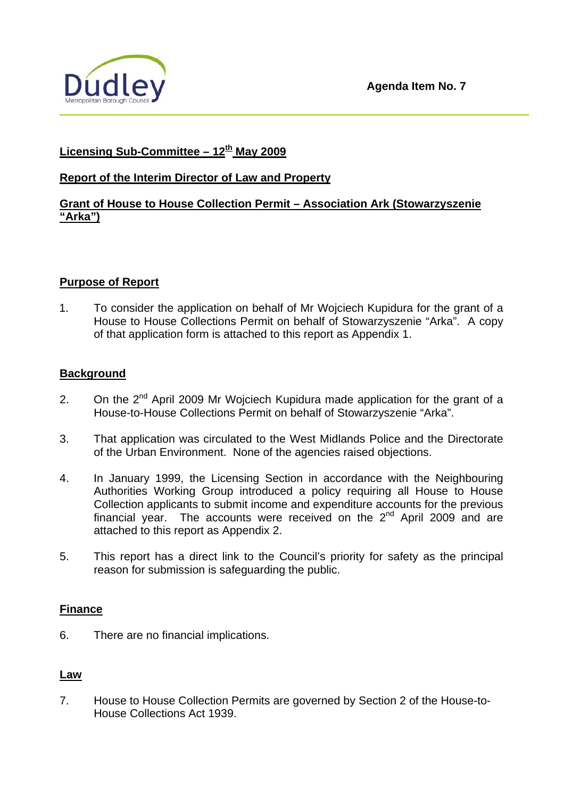

# **Licensing Sub-Committee – 12th May 2009**

## **Report of the Interim Director of Law and Property**

## **Grant of House to House Collection Permit – Association Ark (Stowarzyszenie "Arka")**

### **Purpose of Report**

1. To consider the application on behalf of Mr Wojciech Kupidura for the grant of a House to House Collections Permit on behalf of Stowarzyszenie "Arka". A copy of that application form is attached to this report as Appendix 1.

### **Background**

- 2. On the  $2^{nd}$  April 2009 Mr Wojciech Kupidura made application for the grant of a House-to-House Collections Permit on behalf of Stowarzyszenie "Arka".
- 3. That application was circulated to the West Midlands Police and the Directorate of the Urban Environment. None of the agencies raised objections.
- 4. In January 1999, the Licensing Section in accordance with the Neighbouring Authorities Working Group introduced a policy requiring all House to House Collection applicants to submit income and expenditure accounts for the previous financial year. The accounts were received on the 2nd April 2009 and are attached to this report as Appendix 2.
- 5. This report has a direct link to the Council's priority for safety as the principal reason for submission is safeguarding the public.

#### **Finance**

6. There are no financial implications.

#### **Law**

7. House to House Collection Permits are governed by Section 2 of the House-to-House Collections Act 1939.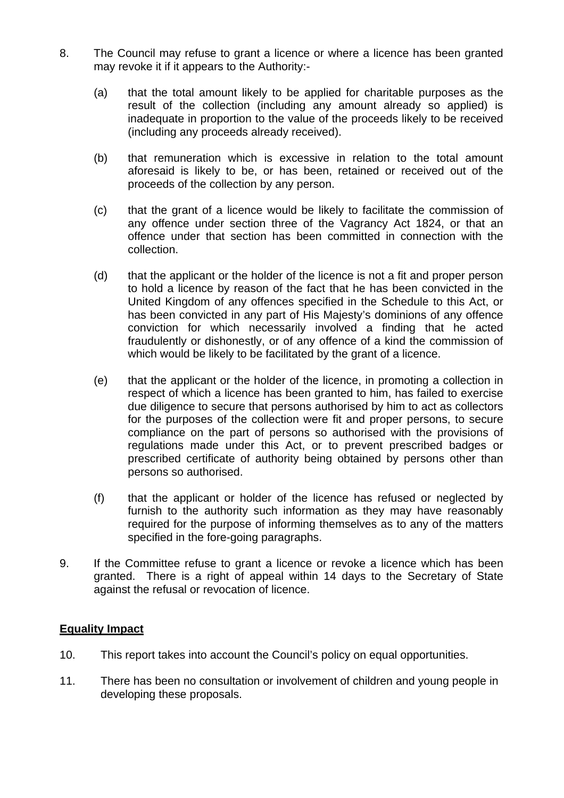- 8. The Council may refuse to grant a licence or where a licence has been granted may revoke it if it appears to the Authority:-
	- (a) that the total amount likely to be applied for charitable purposes as the result of the collection (including any amount already so applied) is inadequate in proportion to the value of the proceeds likely to be received (including any proceeds already received).
	- (b) that remuneration which is excessive in relation to the total amount aforesaid is likely to be, or has been, retained or received out of the proceeds of the collection by any person.
	- (c) that the grant of a licence would be likely to facilitate the commission of any offence under section three of the Vagrancy Act 1824, or that an offence under that section has been committed in connection with the collection.
	- (d) that the applicant or the holder of the licence is not a fit and proper person to hold a licence by reason of the fact that he has been convicted in the United Kingdom of any offences specified in the Schedule to this Act, or has been convicted in any part of His Majesty's dominions of any offence conviction for which necessarily involved a finding that he acted fraudulently or dishonestly, or of any offence of a kind the commission of which would be likely to be facilitated by the grant of a licence.
	- (e) that the applicant or the holder of the licence, in promoting a collection in respect of which a licence has been granted to him, has failed to exercise due diligence to secure that persons authorised by him to act as collectors for the purposes of the collection were fit and proper persons, to secure compliance on the part of persons so authorised with the provisions of regulations made under this Act, or to prevent prescribed badges or prescribed certificate of authority being obtained by persons other than persons so authorised.
	- (f) that the applicant or holder of the licence has refused or neglected by furnish to the authority such information as they may have reasonably required for the purpose of informing themselves as to any of the matters specified in the fore-going paragraphs.
- 9. If the Committee refuse to grant a licence or revoke a licence which has been granted. There is a right of appeal within 14 days to the Secretary of State against the refusal or revocation of licence.

## **Equality Impact**

- 10. This report takes into account the Council's policy on equal opportunities.
- 11. There has been no consultation or involvement of children and young people in developing these proposals.